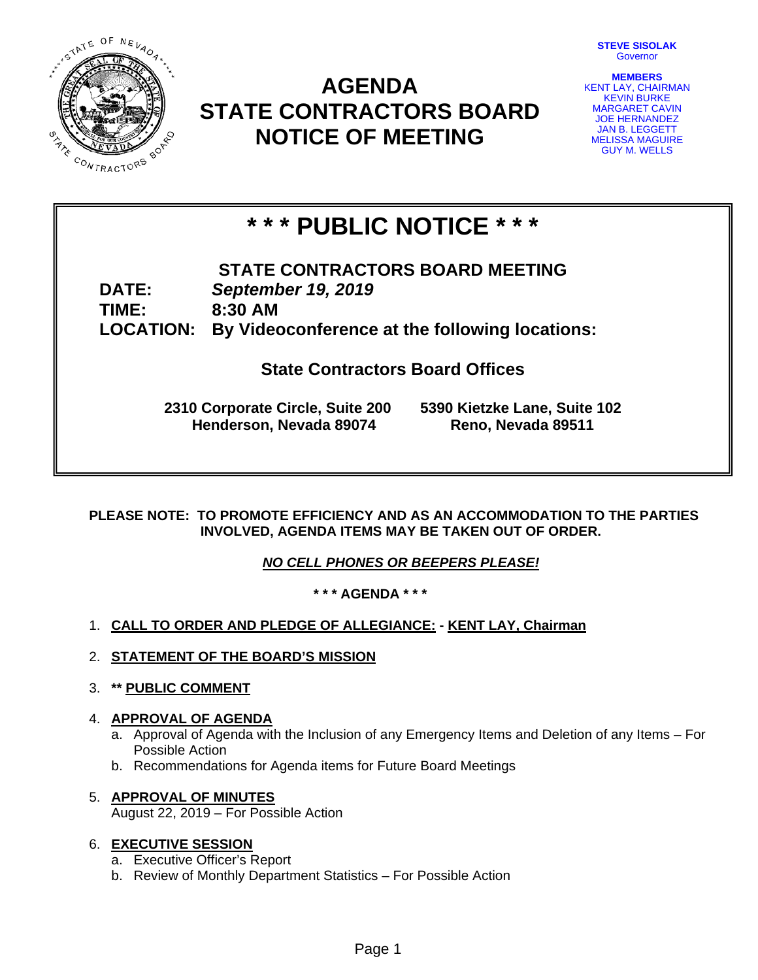

## **AGENDA STATE CONTRACTORS BOARD NOTICE OF MEETING**



**MEMBERS**  KENT LAY, CHAIRMAN KEVIN BURKE MARGARET CAVIN JOE HERNANDEZ JAN B. LEGGETT MELISSA MAGUIRE GUY M. WELLS

# **\* \* \* PUBLIC NOTICE \* \* \***

### **STATE CONTRACTORS BOARD MEETING DATE:** *September 19, 2019*  **TIME: 8:30 AM LOCATION: By Videoconference at the following locations:**

**State Contractors Board Offices** 

**2310 Corporate Circle, Suite 200 5390 Kietzke Lane, Suite 102 Henderson, Nevada 89074 Reno, Nevada 89511**

**PLEASE NOTE: TO PROMOTE EFFICIENCY AND AS AN ACCOMMODATION TO THE PARTIES INVOLVED, AGENDA ITEMS MAY BE TAKEN OUT OF ORDER.** 

*NO CELL PHONES OR BEEPERS PLEASE!* 

**\* \* \* AGENDA \* \* \*** 

- 1. **CALL TO ORDER AND PLEDGE OF ALLEGIANCE: KENT LAY, Chairman**
- 2. **STATEMENT OF THE BOARD'S MISSION**
- 3. **\*\* PUBLIC COMMENT**

#### 4. **APPROVAL OF AGENDA**

- a. Approval of Agenda with the Inclusion of any Emergency Items and Deletion of any Items For Possible Action
- b. Recommendations for Agenda items for Future Board Meetings
- 5. **APPROVAL OF MINUTES** August 22, 2019 – For Possible Action

#### 6. **EXECUTIVE SESSION**

- a. Executive Officer's Report
- b. Review of Monthly Department Statistics For Possible Action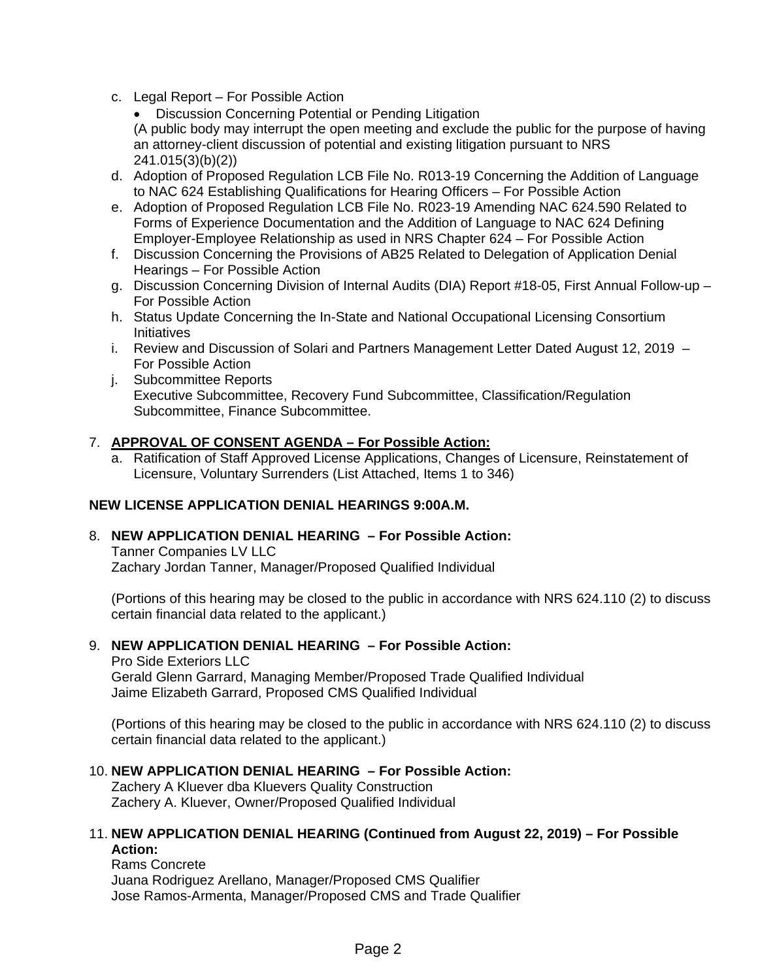c. Legal Report – For Possible Action

 Discussion Concerning Potential or Pending Litigation (A public body may interrupt the open meeting and exclude the public for the purpose of having an attorney-client discussion of potential and existing litigation pursuant to NRS 241.015(3)(b)(2))

- d. Adoption of Proposed Regulation LCB File No. R013-19 Concerning the Addition of Language to NAC 624 Establishing Qualifications for Hearing Officers – For Possible Action
- e. Adoption of Proposed Regulation LCB File No. R023-19 Amending NAC 624.590 Related to Forms of Experience Documentation and the Addition of Language to NAC 624 Defining Employer-Employee Relationship as used in NRS Chapter 624 – For Possible Action
- f. Discussion Concerning the Provisions of AB25 Related to Delegation of Application Denial Hearings – For Possible Action
- g. Discussion Concerning Division of Internal Audits (DIA) Report #18-05, First Annual Follow-up For Possible Action
- h. Status Update Concerning the In-State and National Occupational Licensing Consortium Initiatives
- i. Review and Discussion of Solari and Partners Management Letter Dated August 12, 2019 For Possible Action
- j. Subcommittee Reports Executive Subcommittee, Recovery Fund Subcommittee, Classification/Regulation Subcommittee, Finance Subcommittee.

#### 7. **APPROVAL OF CONSENT AGENDA – For Possible Action:**

a. Ratification of Staff Approved License Applications, Changes of Licensure, Reinstatement of Licensure, Voluntary Surrenders (List Attached, Items 1 to 346)

#### **NEW LICENSE APPLICATION DENIAL HEARINGS 9:00A.M.**

#### 8. **NEW APPLICATION DENIAL HEARING – For Possible Action:**

Tanner Companies LV LLC Zachary Jordan Tanner, Manager/Proposed Qualified Individual

(Portions of this hearing may be closed to the public in accordance with NRS 624.110 (2) to discuss certain financial data related to the applicant.)

#### 9. **NEW APPLICATION DENIAL HEARING – For Possible Action:**

Pro Side Exteriors LLC Gerald Glenn Garrard, Managing Member/Proposed Trade Qualified Individual Jaime Elizabeth Garrard, Proposed CMS Qualified Individual

(Portions of this hearing may be closed to the public in accordance with NRS 624.110 (2) to discuss certain financial data related to the applicant.)

#### 10. **NEW APPLICATION DENIAL HEARING – For Possible Action:**

Zachery A Kluever dba Kluevers Quality Construction Zachery A. Kluever, Owner/Proposed Qualified Individual

#### 11. **NEW APPLICATION DENIAL HEARING (Continued from August 22, 2019) – For Possible Action:**

Rams Concrete Juana Rodriguez Arellano, Manager/Proposed CMS Qualifier Jose Ramos-Armenta, Manager/Proposed CMS and Trade Qualifier